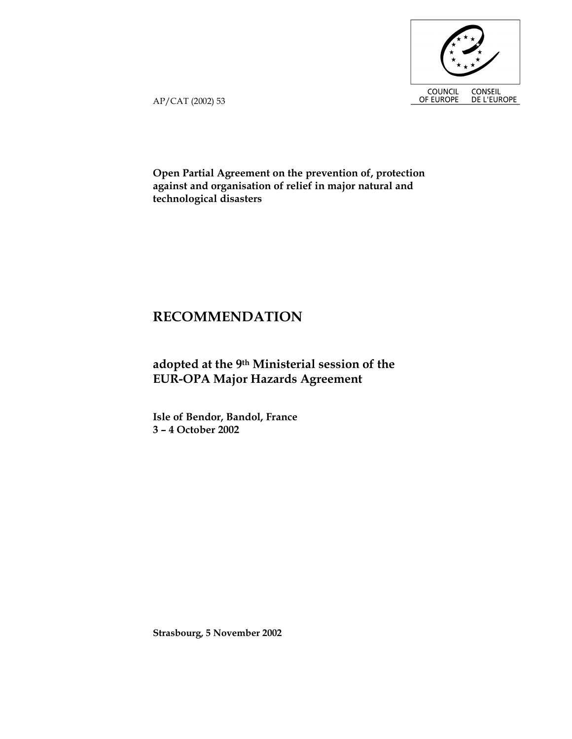

AP/CAT (2002) 53

**Open Partial Agreement on the prevention of, protection against and organisation of relief in major natural and technological disasters** 

# **RECOMMENDATION**

## **adopted at the 9th Ministerial session of the EUR-OPA Major Hazards Agreement**

**Isle of Bendor, Bandol, France 3 – 4 October 2002** 

**Strasbourg, 5 November 2002**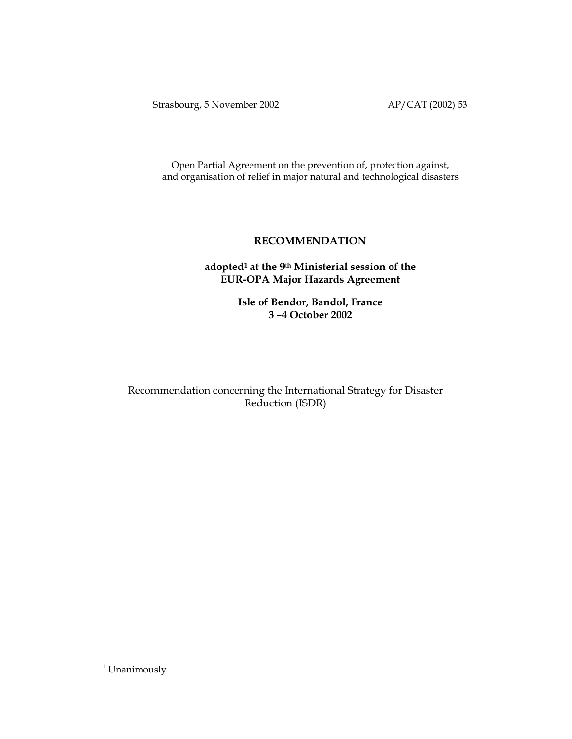Strasbourg, 5 November 2002 AP/CAT (2002) 53

Open Partial Agreement on the prevention of, protection against, and organisation of relief in major natural and technological disasters

## **RECOMMENDATION**

## **adopted<sup>1</sup> at the 9th Ministerial session of the EUR-OPA Major Hazards Agreement**

**Isle of Bendor, Bandol, France 3 –4 October 2002** 

Recommendation concerning the International Strategy for Disaster Reduction (ISDR)

<u>.</u>

<sup>&</sup>lt;sup>1</sup> Unanimously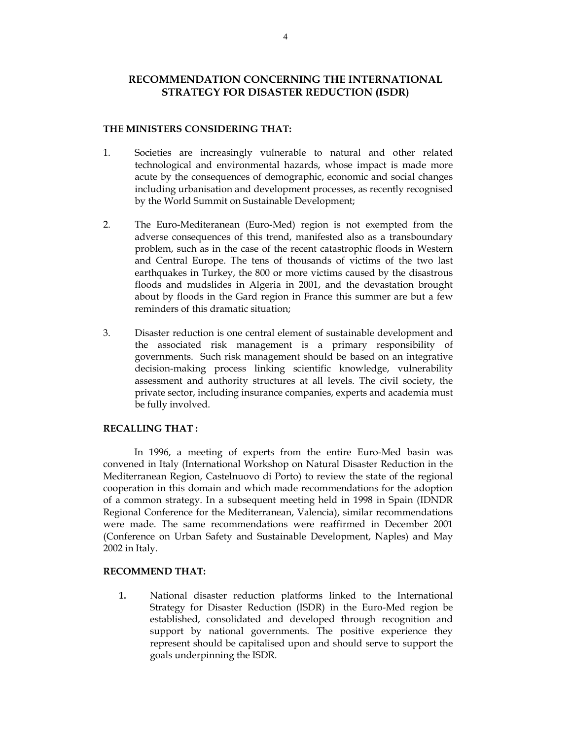## **RECOMMENDATION CONCERNING THE INTERNATIONAL STRATEGY FOR DISASTER REDUCTION (ISDR)**

#### **THE MINISTERS CONSIDERING THAT:**

- 1. Societies are increasingly vulnerable to natural and other related technological and environmental hazards, whose impact is made more acute by the consequences of demographic, economic and social changes including urbanisation and development processes, as recently recognised by the World Summit on Sustainable Development;
- 2. The Euro-Mediteranean (Euro-Med) region is not exempted from the adverse consequences of this trend, manifested also as a transboundary problem, such as in the case of the recent catastrophic floods in Western and Central Europe. The tens of thousands of victims of the two last earthquakes in Turkey, the 800 or more victims caused by the disastrous floods and mudslides in Algeria in 2001, and the devastation brought about by floods in the Gard region in France this summer are but a few reminders of this dramatic situation;
- 3. Disaster reduction is one central element of sustainable development and the associated risk management is a primary responsibility of governments. Such risk management should be based on an integrative decision-making process linking scientific knowledge, vulnerability assessment and authority structures at all levels. The civil society, the private sector, including insurance companies, experts and academia must be fully involved.

#### **RECALLING THAT :**

In 1996, a meeting of experts from the entire Euro-Med basin was convened in Italy (International Workshop on Natural Disaster Reduction in the Mediterranean Region, Castelnuovo di Porto) to review the state of the regional cooperation in this domain and which made recommendations for the adoption of a common strategy. In a subsequent meeting held in 1998 in Spain (IDNDR Regional Conference for the Mediterranean, Valencia), similar recommendations were made. The same recommendations were reaffirmed in December 2001 (Conference on Urban Safety and Sustainable Development, Naples) and May 2002 in Italy.

#### **RECOMMEND THAT:**

**1.** National disaster reduction platforms linked to the International Strategy for Disaster Reduction (ISDR) in the Euro-Med region be established, consolidated and developed through recognition and support by national governments. The positive experience they represent should be capitalised upon and should serve to support the goals underpinning the ISDR.